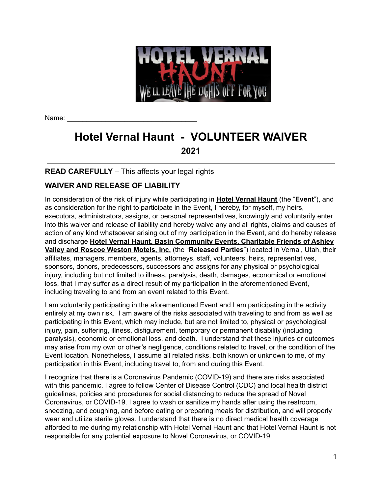

Name:

# **Hotel Vernal Haunt - VOLUNTEER WAIVER 2021**

## **READ CAREFULLY** – This affects your legal rights

## **WAIVER AND RELEASE OF LIABILITY**

In consideration of the risk of injury while participating in **Hotel Vernal Haunt** (the "**Event**"), and as consideration for the right to participate in the Event, I hereby, for myself, my heirs, executors, administrators, assigns, or personal representatives, knowingly and voluntarily enter into this waiver and release of liability and hereby waive any and all rights, claims and causes of action of any kind whatsoever arising out of my participation in the Event, and do hereby release and discharge **Hotel Vernal Haunt, Basin Community Events, Charitable Friends of Ashley Valley and Roscoe Weston Motels, Inc.** (the "**Released Parties**") located in Vernal, Utah, their affiliates, managers, members, agents, attorneys, staff, volunteers, heirs, representatives, sponsors, donors, predecessors, successors and assigns for any physical or psychological injury, including but not limited to illness, paralysis, death, damages, economical or emotional loss, that I may suffer as a direct result of my participation in the aforementioned Event, including traveling to and from an event related to this Event.

I am voluntarily participating in the aforementioned Event and I am participating in the activity entirely at my own risk. I am aware of the risks associated with traveling to and from as well as participating in this Event, which may include, but are not limited to, physical or psychological injury, pain, suffering, illness, disfigurement, temporary or permanent disability (including paralysis), economic or emotional loss, and death. I understand that these injuries or outcomes may arise from my own or other's negligence, conditions related to travel, or the condition of the Event location. Nonetheless, I assume all related risks, both known or unknown to me, of my participation in this Event, including travel to, from and during this Event.

I recognize that there is a Coronavirus Pandemic (COVID-19) and there are risks associated with this pandemic. I agree to follow Center of Disease Control (CDC) and local health district guidelines, policies and procedures for social distancing to reduce the spread of Novel Coronavirus, or COVID-19. I agree to wash or sanitize my hands after using the restroom, sneezing, and coughing, and before eating or preparing meals for distribution, and will properly wear and utilize sterile gloves. I understand that there is no direct medical health coverage afforded to me during my relationship with Hotel Vernal Haunt and that Hotel Vernal Haunt is not responsible for any potential exposure to Novel Coronavirus, or COVID-19.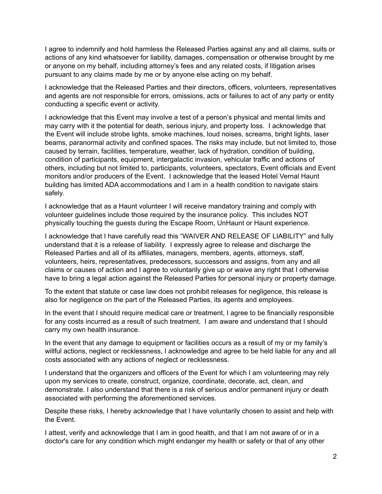I agree to indemnify and hold harmless the Released Parties against any and all claims, suits or actions of any kind whatsoever for liability, damages, compensation or otherwise brought by me or anyone on my behalf, including attorney's fees and any related costs, if litigation arises pursuant to any claims made by me or by anyone else acting on my behalf.

I acknowledge that the Released Parties and their directors, officers, volunteers, representatives and agents are not responsible for errors, omissions, acts or failures to act of any party or entity conducting a specific event or activity.

I acknowledge that this Event may involve a test of a person's physical and mental limits and may carry with it the potential for death, serious injury, and property loss. I acknowledge that the Event will include strobe lights, smoke machines, loud noises, screams, bright lights, laser beams, paranormal activity and confined spaces. The risks may include, but not limited to, those caused by terrain, facilities, temperature, weather, lack of hydration, condition of building, condition of participants, equipment, intergalactic invasion, vehicular traffic and actions of others, including but not limited to, participants, volunteers, spectators, Event officials and Event monitors and/or producers of the Event. I acknowledge that the leased Hotel Vernal Haunt building has limited ADA accommodations and I am in a health condition to navigate stairs safely.

I acknowledge that as a Haunt volunteer I will receive mandatory training and comply with volunteer guidelines include those required by the insurance policy. This includes NOT physically touching the guests during the Escape Room, UnHaunt or Haunt experience.

I acknowledge that I have carefully read this "WAIVER AND RELEASE OF LIABILITY" and fully understand that it is a release of liability. I expressly agree to release and discharge the Released Parties and all of its affiliates, managers, members, agents, attorneys, staff, volunteers, heirs, representatives, predecessors, successors and assigns, from any and all claims or causes of action and I agree to voluntarily give up or waive any right that I otherwise have to bring a legal action against the Released Parties for personal injury or property damage.

To the extent that statute or case law does not prohibit releases for negligence, this release is also for negligence on the part of the Released Parties, its agents and employees.

In the event that I should require medical care or treatment, I agree to be financially responsible for any costs incurred as a result of such treatment. I am aware and understand that I should carry my own health insurance.

In the event that any damage to equipment or facilities occurs as a result of my or my family's willful actions, neglect or recklessness, I acknowledge and agree to be held liable for any and all costs associated with any actions of neglect or recklessness.

I understand that the organizers and officers of the Event for which I am volunteering may rely upon my services to create, construct, organize, coordinate, decorate, act, clean, and demonstrate. I also understand that there is a risk of serious and/or permanent injury or death associated with performing the aforementioned services.

Despite these risks, I hereby acknowledge that I have voluntarily chosen to assist and help with the Event.

I attest, verify and acknowledge that I am in good health, and that I am not aware of or in a doctor's care for any condition which might endanger my health or safety or that of any other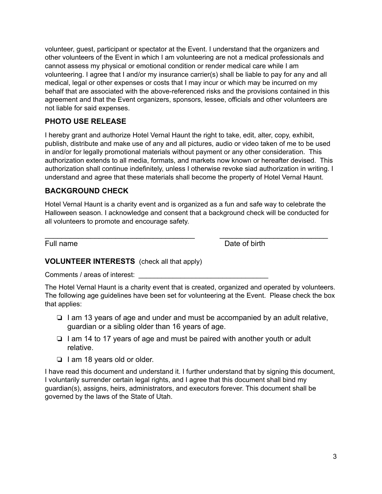volunteer, guest, participant or spectator at the Event. I understand that the organizers and other volunteers of the Event in which I am volunteering are not a medical professionals and cannot assess my physical or emotional condition or render medical care while I am volunteering. I agree that I and/or my insurance carrier(s) shall be liable to pay for any and all medical, legal or other expenses or costs that I may incur or which may be incurred on my behalf that are associated with the above-referenced risks and the provisions contained in this agreement and that the Event organizers, sponsors, lessee, officials and other volunteers are not liable for said expenses.

#### **PHOTO USE RELEASE**

I hereby grant and authorize Hotel Vernal Haunt the right to take, edit, alter, copy, exhibit, publish, distribute and make use of any and all pictures, audio or video taken of me to be used in and/or for legally promotional materials without payment or any other consideration. This authorization extends to all media, formats, and markets now known or hereafter devised. This authorization shall continue indefinitely, unless I otherwise revoke siad authorization in writing. I understand and agree that these materials shall become the property of Hotel Vernal Haunt.

### **BACKGROUND CHECK**

Hotel Vernal Haunt is a charity event and is organized as a fun and safe way to celebrate the Halloween season. I acknowledge and consent that a background check will be conducted for all volunteers to promote and encourage safety.

\_\_\_\_\_\_\_\_\_\_\_\_\_\_\_\_\_\_\_\_\_\_\_\_\_\_\_\_\_\_\_\_\_\_\_\_ \_\_\_\_\_\_\_\_\_\_\_\_\_\_\_\_\_\_\_\_\_\_\_\_\_\_

Full name **Date of birth** 

#### **VOLUNTEER INTERESTS** (check all that apply)

Comments / areas of interest:

The Hotel Vernal Haunt is a charity event that is created, organized and operated by volunteers. The following age guidelines have been set for volunteering at the Event. Please check the box that applies:

- ❏ I am 13 years of age and under and must be accompanied by an adult relative, guardian or a sibling older than 16 years of age.
- ❏ I am 14 to 17 years of age and must be paired with another youth or adult relative.
- ❏ I am 18 years old or older.

I have read this document and understand it. I further understand that by signing this document, I voluntarily surrender certain legal rights, and I agree that this document shall bind my guardian(s), assigns, heirs, administrators, and executors forever. This document shall be governed by the laws of the State of Utah.